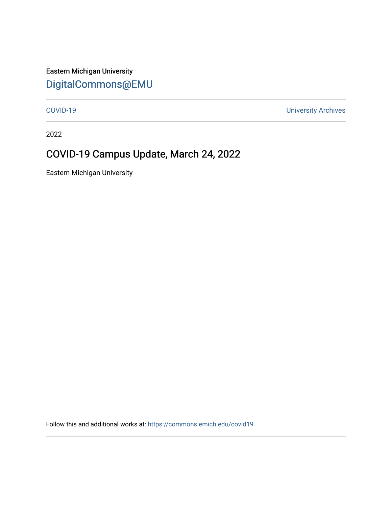Eastern Michigan University [DigitalCommons@EMU](https://commons.emich.edu/) 

[COVID-19](https://commons.emich.edu/covid19) [University Archives](https://commons.emich.edu/archives) 

2022

## COVID-19 Campus Update, March 24, 2022

Eastern Michigan University

Follow this and additional works at: [https://commons.emich.edu/covid19](https://commons.emich.edu/covid19?utm_source=commons.emich.edu%2Fcovid19%2F204&utm_medium=PDF&utm_campaign=PDFCoverPages)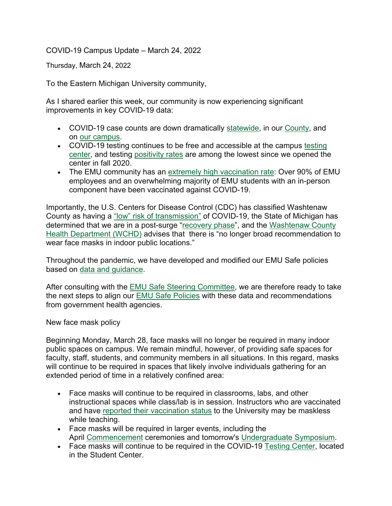COVID-19 Campus Update – March 24, 2022

Thursday, March 24, 2022

To the Eastern Michigan University community,

As I shared earlier this week, our community is now experiencing significant improvements in key COVID-19 data:

- COVID-19 case counts are down dramatically [statewide,](https://www.michigan.gov/coronavirus/0,9753,7-406-98163_98173---,00.html) in our [County,](https://www.washtenaw.org/3108/Cases) and on [our campus.](https://www.emich.edu/emusafe/dashboard/index.php)
- COVID-19 testing continues to be free and accessible at the campus [testing](https://www.emich.edu/emusafe/testing/index.php)  [center,](https://www.emich.edu/emusafe/testing/index.php) and testing [positivity rates](https://www.emich.edu/emusafe/dashboard/index.php) are among the lowest since we opened the center in fall 2020.
- The EMU community has an [extremely high vaccination rate:](https://www.emich.edu/emusafe/dashboard/index.php) Over 90% of EMU employees and an overwhelming majority of EMU students with an in-person component have been vaccinated against COVID-19.

Importantly, the U.S. Centers for Disease Control (CDC) has classified Washtenaw County as having a ["low" risk of transmission"](https://www.cdc.gov/coronavirus/2019-ncov/science/community-levels.html) of COVID-19, the State of Michigan has determined that we are in a post-surge ["recovery phase"](https://www.michigan.gov/coronavirus/0,9753,7-406-98163-577554--,00.html), and the [Washtenaw County](https://www.washtenaw.org/CivicAlerts.aspx?AID=1953)  [Health Department \(WCHD\)](https://www.washtenaw.org/CivicAlerts.aspx?AID=1953) advises that there is "no longer broad recommendation to wear face masks in indoor public locations."

Throughout the pandemic, we have developed and modified our EMU Safe policies based on [data and guidance.](https://www.emich.edu/emusafe/safe-return-to-campus/campus-operation/index.php)

After consulting with the **EMU Safe Steering Committee**, we are therefore ready to take the next steps to align our [EMU Safe Policies](https://www.emich.edu/emusafe/) with these data and recommendations from government health agencies.

New face mask policy

Beginning Monday, March 28, face masks will no longer be required in many indoor public spaces on campus. We remain mindful, however, of providing safe spaces for faculty, staff, students, and community members in all situations. In this regard, masks will continue to be required in spaces that likely involve individuals gathering for an extended period of time in a relatively confined area:

- Face masks will continue to be required in classrooms, labs, and other instructional spaces while class/lab is in session. Instructors who are vaccinated and have [reported their vaccination status](https://www.emich.edu/emusafe/reporting.php) to the University may be maskless while teaching.
- Face masks will be required in larger events, including the April [Commencement](https://www.emich.edu/commencement/index.php) ceremonies and tomorrow's [Undergraduate Symposium.](https://www.emich.edu/symposium/)
- Face masks will continue to be required in the COVID-19 [Testing Center,](https://www.emich.edu/emusafe/testing/index.php) located in the Student Center.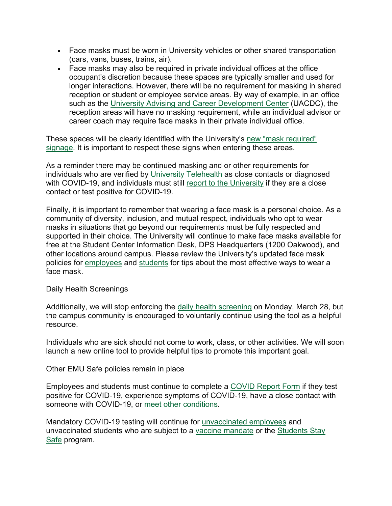- Face masks must be worn in University vehicles or other shared transportation (cars, vans, buses, trains, air).
- Face masks may also be required in private individual offices at the office occupant's discretion because these spaces are typically smaller and used for longer interactions. However, there will be no requirement for masking in shared reception or student or employee service areas. By way of example, in an office such as the [University Advising and Career Development Center](https://www.emich.edu/uacdc/index.php) (UACDC), the reception areas will have no masking requirement, while an individual advisor or career coach may require face masks in their private individual office.

These spaces will be clearly identified with the University's [new "mask required"](https://www.emich.edu/emusafe/communication-resources/printable-materials/index.php)  [signage.](https://www.emich.edu/emusafe/communication-resources/printable-materials/index.php) It is important to respect these signs when entering these areas.

As a reminder there may be continued masking and or other requirements for individuals who are verified by [University Telehealth](https://www.emich.edu/emusafe/telehealth.php) as close contacts or diagnosed with COVID-19, and individuals must still [report to the University](https://docs.google.com/forms/d/e/1FAIpQLSe0MSbLFpTDQhv-J6f7H2wm-hXCqa8AjHP-NzQ6glEPPFb5Zw/viewform) if they are a close contact or test positive for COVID-19.

Finally, it is important to remember that wearing a face mask is a personal choice. As a community of diversity, inclusion, and mutual respect, individuals who opt to wear masks in situations that go beyond our requirements must be fully respected and supported in their choice. The University will continue to make face masks available for free at the Student Center Information Desk, DPS Headquarters (1200 Oakwood), and other locations around campus. Please review the University's updated face mask policies for [employees](https://www.emich.edu/emusafe/safe-return-to-campus/employees/index.php#d33e92-6) and [students](https://www.emich.edu/emusafe/safe-return-to-campus/students/index.php#d33e88-6) for tips about the most effective ways to wear a face mask.

Daily Health Screenings

Additionally, we will stop enforcing the [daily health screening](https://covid.emich.edu/redcap/surveys/?s=8CLTHWK8EY) on Monday, March 28, but the campus community is encouraged to voluntarily continue using the tool as a helpful resource.

Individuals who are sick should not come to work, class, or other activities. We will soon launch a new online tool to provide helpful tips to promote this important goal.

Other EMU Safe policies remain in place

Employees and students must continue to complete a [COVID Report Form](https://docs.google.com/forms/d/e/1FAIpQLSe0MSbLFpTDQhv-J6f7H2wm-hXCqa8AjHP-NzQ6glEPPFb5Zw/viewform) if they test positive for COVID-19, experience symptoms of COVID-19, have a close contact with someone with COVID-19, or [meet other conditions.](https://www.emich.edu/emusafe/safe-return-to-campus/students/index.php#d33e88-3)

Mandatory COVID-19 testing will continue for [unvaccinated employees](https://www.emich.edu/emusafe/employees/vaccination.php) and unvaccinated students who are subject to a [vaccine mandate](https://www.emich.edu/emusafe/students/index.php) or the [Students Stay](https://www.emich.edu/emusafe/students/stay-safe.php)  [Safe](https://www.emich.edu/emusafe/students/stay-safe.php) program.